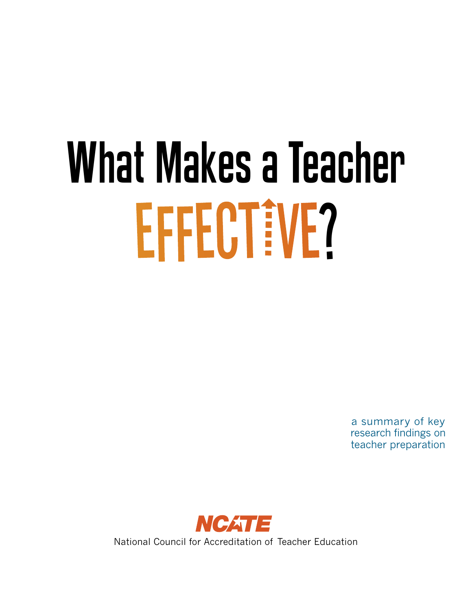# What Makes a Teacher EFFECTEVE?

a summary of key research findings on teacher preparation

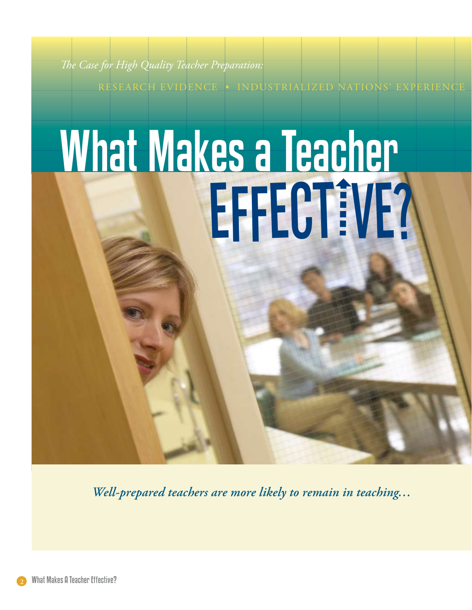*The Case for High Quality Teacher Preparation:* 

RESEARCH EVIDENCE • INDUSTRIALIZED NATIONS' EXPERIENCE

## What Makes a Teacher EFFECT IVE?

*Well-prepared teachers are more likely to remain in teaching…* 

What Makes A Teacher Effective?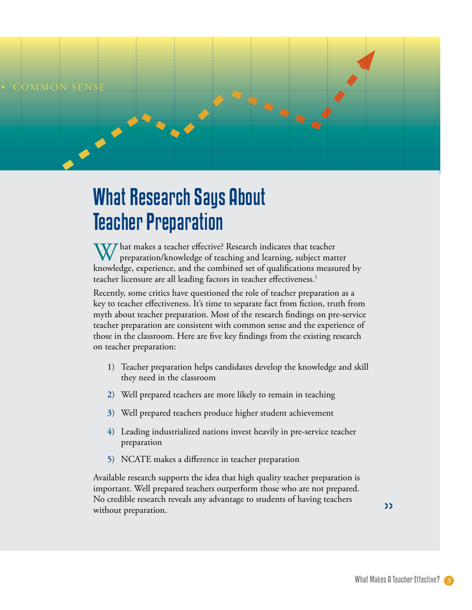

## What Research Says About Teacher Preparation

W/hat makes a teacher effective? Research indicates that teacher preparation/knowledge of teaching and learning, subject matter knowledge, experience, and the combined set of qualifications measured by teacher licensure are all leading factors in teacher effectiveness.<sup>1</sup>

Recently, some critics have questioned the role of teacher preparation as a key to teacher effectiveness. It's time to separate fact from fiction, truth from myth about teacher preparation. Most of the research findings on pre-service teacher preparation are consistent with common sense and the experience of those in the classroom. Here are five key findings from the existing research on teacher preparation:

- Teacher preparation helps candidates develop the knowledge and skill **1)** they need in the classroom
- Well prepared teachers are more likely to remain in teaching **)**
- Well prepared teachers produce higher student achievement **)**
- Leading industrialized nations invest heavily in pre-service teacher **)** preparation
- NCATE makes a difference in teacher preparation **)**

Available research supports the idea that high quality teacher preparation is important. Well prepared teachers outperform those who are not prepared. No credible research reveals any advantage to students of having teachers without preparation.

>>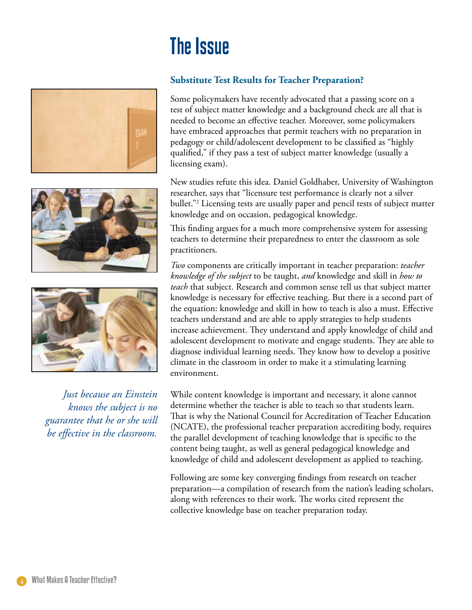## The Issue







*Just because an Einstein knows the subject is no guarantee that he or she will be effective in the classroom.* 

#### **Substitute Test Results for Teacher Preparation?**

Some policymakers have recently advocated that a passing score on a test of subject matter knowledge and a background check are all that is needed to become an effective teacher. Moreover, some policymakers have embraced approaches that permit teachers with no preparation in pedagogy or child/adolescent development to be classified as "highly qualified," if they pass a test of subject matter knowledge (usually a licensing exam).

New studies refute this idea. Daniel Goldhaber, University of Washington researcher, says that "licensure test performance is clearly not a silver bullet."2 Licensing tests are usually paper and pencil tests of subject matter knowledge and on occasion, pedagogical knowledge.

This finding argues for a much more comprehensive system for assessing teachers to determine their preparedness to enter the classroom as sole practitioners.

*Two* components are critically important in teacher preparation: *teacher knowledge of the subject* to be taught, *and* knowledge and skill in *how to teach* that subject. Research and common sense tell us that subject matter knowledge is necessary for effective teaching. But there is a second part of the equation: knowledge and skill in how to teach is also a must. Effective teachers understand and are able to apply strategies to help students increase achievement. They understand and apply knowledge of child and adolescent development to motivate and engage students. They are able to diagnose individual learning needs. They know how to develop a positive climate in the classroom in order to make it a stimulating learning environment.

While content knowledge is important and necessary, it alone cannot determine whether the teacher is able to teach so that students learn. That is why the National Council for Accreditation of Teacher Education (NCATE), the professional teacher preparation accrediting body, requires the parallel development of teaching knowledge that is specific to the content being taught, as well as general pedagogical knowledge and knowledge of child and adolescent development as applied to teaching.

Following are some key converging findings from research on teacher preparation—a compilation of research from the nation's leading scholars, along with references to their work. The works cited represent the collective knowledge base on teacher preparation today.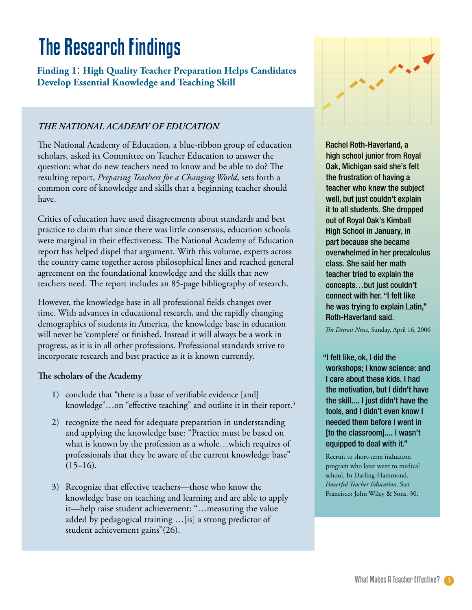## The Research Findings

**Finding 1**: **High Quality Teacher Preparation Helps Candidates Develop Essential Knowledge and Teaching Skill**

#### *THE NATIONAL ACADEMY OF EDUCATION*

The National Academy of Education, a blue-ribbon group of education scholars, asked its Committee on Teacher Education to answer the question: what do new teachers need to know and be able to do? The resulting report, *Preparing Teachers for a Changing World*, sets forth a common core of knowledge and skills that a beginning teacher should have.

Critics of education have used disagreements about standards and best practice to claim that since there was little consensus, education schools were marginal in their effectiveness. The National Academy of Education report has helped dispel that argument. With this volume, experts across the country came together across philosophical lines and reached general agreement on the foundational knowledge and the skills that new teachers need. The report includes an 85-page bibliography of research.

However, the knowledge base in all professional fields changes over time. With advances in educational research, and the rapidly changing demographics of students in America, the knowledge base in education will never be 'complete' or finished. Instead it will always be a work in progress, as it is in all other professions. Professional standards strive to incorporate research and best practice as it is known currently.

#### **The scholars of the Academy**

- conclude that "there is a base of verifiable evidence [and] **1)** knowledge"...on "effective teaching" and outline it in their report.<sup>3</sup>
- 2) recognize the need for adequate preparation in understanding and applying the knowledge base: "Practice must be based on what is known by the profession as a whole…which requires of professionals that they be aware of the current knowledge base"  $(15–16)$ .
- 3) Recognize that effective teachers—those who know the knowledge base on teaching and learning and are able to apply it—help raise student achievement: "…measuring the value added by pedagogical training …[is] a strong predictor of student achievement gains"(26).



Rachel Roth-Haverland, a high school junior from Royal Oak, Michigan said she's felt the frustration of having a teacher who knew the subject well, but just couldn't explain it to all students. She dropped out of Royal Oak's Kimball High School in January, in part because she became overwhelmed in her precalculus class. She said her math teacher tried to explain the concepts…but just couldn't connect with her. "I felt like he was trying to explain Latin," Roth-Haverland said.

*The Detroit News*, Sunday, April 16, 2006

"I felt like, ok, I did the workshops; I know science; and I care about these kids. I had the motivation, but I didn't have the skill.... I just didn't have the tools, and I didn't even know I needed them before I went in [to the classroom].... I wasn't equipped to deal with it."

Recruit to short-term induction program who later went to medical school. In Darling-Hammond, *Powerful Teacher Education*. San Francisco: John Wiley & Sons. 30.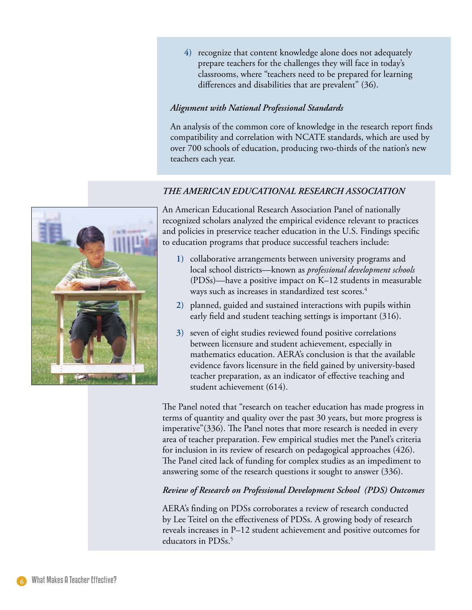4) recognize that content knowledge alone does not adequately prepare teachers for the challenges they will face in today's classrooms, where "teachers need to be prepared for learning differences and disabilities that are prevalent" (36).

#### *Alignment with National Professional Standards*

An analysis of the common core of knowledge in the research report finds compatibility and correlation with NCATE standards, which are used by over 700 schools of education, producing two-thirds of the nation's new teachers each year.

#### *THE AMERICAN EDUCATIONAL RESEARCH ASSOCIATION*



An American Educational Research Association Panel of nationally recognized scholars analyzed the empirical evidence relevant to practices and policies in preservice teacher education in the U.S. Findings specific to education programs that produce successful teachers include:

- collaborative arrangements between university programs and **1)** local school districts—known as *professional development schools*  (PDSs)—have a positive impact on K–12 students in measurable ways such as increases in standardized test scores.<sup>4</sup>
- planned, guided and sustained interactions with pupils within **)** early field and student teaching settings is important (316).
- 3) seven of eight studies reviewed found positive correlations between licensure and student achievement, especially in mathematics education. AERA's conclusion is that the available evidence favors licensure in the field gained by university-based teacher preparation, as an indicator of effective teaching and student achievement (614).

The Panel noted that "research on teacher education has made progress in terms of quantity and quality over the past 30 years, but more progress is imperative"(336). The Panel notes that more research is needed in every area of teacher preparation. Few empirical studies met the Panel's criteria for inclusion in its review of research on pedagogical approaches (426). The Panel cited lack of funding for complex studies as an impediment to answering some of the research questions it sought to answer (336).

#### *Review of Research on Professional Development School (PDS) Outcomes*

AERA's finding on PDSs corroborates a review of research conducted by Lee Teitel on the effectiveness of PDSs. A growing body of research reveals increases in P–12 student achievement and positive outcomes for educators in PDSs.<sup>5</sup>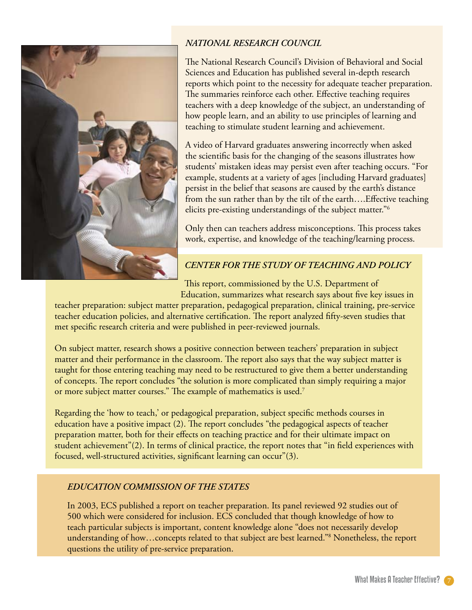

#### *NATIONAL RESEARCH COUNCIL*

The National Research Council's Division of Behavioral and Social Sciences and Education has published several in-depth research reports which point to the necessity for adequate teacher preparation. The summaries reinforce each other. Effective teaching requires teachers with a deep knowledge of the subject, an understanding of how people learn, and an ability to use principles of learning and teaching to stimulate student learning and achievement.

A video of Harvard graduates answering incorrectly when asked the scientific basis for the changing of the seasons illustrates how students' mistaken ideas may persist even after teaching occurs. "For example, students at a variety of ages [including Harvard graduates] persist in the belief that seasons are caused by the earth's distance from the sun rather than by the tilt of the earth….Effective teaching elicits pre-existing understandings of the subject matter."6

Only then can teachers address misconceptions. This process takes work, expertise, and knowledge of the teaching/learning process.

#### *CENTER FOR THE STUDY OF TEACHING AND POLICY*

This report, commissioned by the U.S. Department of

Education, summarizes what research says about five key issues in teacher preparation: subject matter preparation, pedagogical preparation, clinical training, pre-service teacher education policies, and alternative certification. The report analyzed fifty-seven studies that met specific research criteria and were published in peer-reviewed journals.

On subject matter, research shows a positive connection between teachers' preparation in subject matter and their performance in the classroom. The report also says that the way subject matter is taught for those entering teaching may need to be restructured to give them a better understanding of concepts. The report concludes "the solution is more complicated than simply requiring a major or more subject matter courses." The example of mathematics is used.7

Regarding the 'how to teach,' or pedagogical preparation, subject specific methods courses in education have a positive impact (2). The report concludes "the pedagogical aspects of teacher preparation matter, both for their effects on teaching practice and for their ultimate impact on student achievement"(2). In terms of clinical practice, the report notes that "in field experiences with focused, well-structured activities, significant learning can occur"(3).

#### *EDUCATION COMMISSION OF THE STATES*

In 2003, ECS published a report on teacher preparation. Its panel reviewed 92 studies out of 500 which were considered for inclusion. ECS concluded that though knowledge of how to teach particular subjects is important, content knowledge alone "does not necessarily develop understanding of how…concepts related to that subject are best learned."8 Nonetheless, the report questions the utility of pre-service preparation.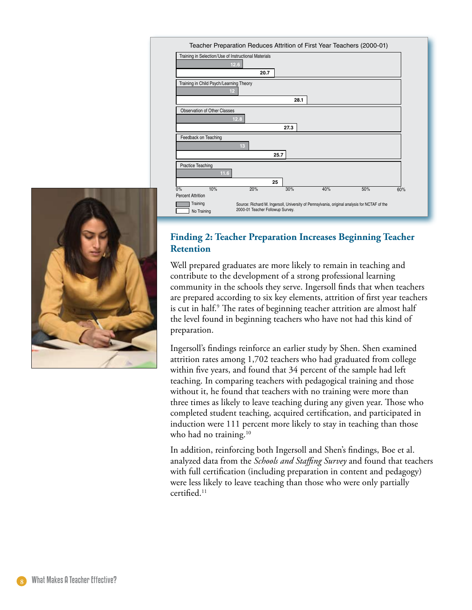



#### **Finding 2: Teacher Preparation Increases Beginning Teacher Retention**

Well prepared graduates are more likely to remain in teaching and contribute to the development of a strong professional learning community in the schools they serve. Ingersoll finds that when teachers are prepared according to six key elements, attrition of first year teachers is cut in half.<sup>9</sup> The rates of beginning teacher attrition are almost half the level found in beginning teachers who have not had this kind of preparation.

Ingersoll's findings reinforce an earlier study by Shen. Shen examined attrition rates among 1,702 teachers who had graduated from college within five years, and found that 34 percent of the sample had left teaching. In comparing teachers with pedagogical training and those without it, he found that teachers with no training were more than three times as likely to leave teaching during any given year. Those who completed student teaching, acquired certification, and participated in induction were 111 percent more likely to stay in teaching than those who had no training. $10$ 

In addition, reinforcing both Ingersoll and Shen's findings, Boe et al. analyzed data from the *Schools and Staffing Survey* and found that teachers with full certification (including preparation in content and pedagogy) were less likely to leave teaching than those who were only partially certified.11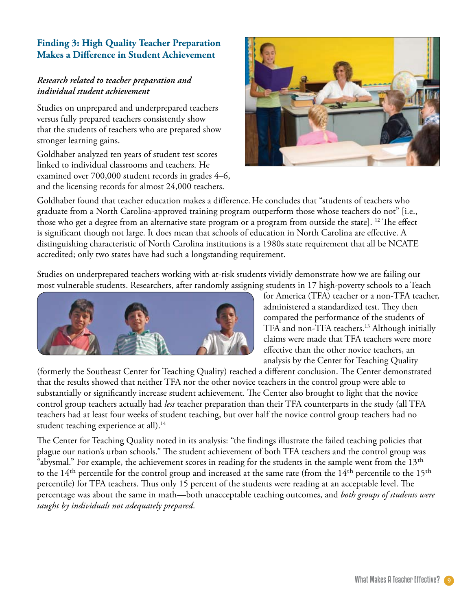#### **Finding 3: High Quality Teacher Preparation Makes a Difference in Student Achievement**

#### *Research related to teacher preparation and individual student achievement*

Studies on unprepared and underprepared teachers versus fully prepared teachers consistently show that the students of teachers who are prepared show stronger learning gains.

Goldhaber analyzed ten years of student test scores linked to individual classrooms and teachers. He examined over 700,000 student records in grades 4–6, and the licensing records for almost 24,000 teachers.



Goldhaber found that teacher education makes a difference. He concludes that "students of teachers who graduate from a North Carolina-approved training program outperform those whose teachers do not" [i.e., those who get a degree from an alternative state program or a program from outside the state]. <sup>12</sup> The effect is significant though not large. It does mean that schools of education in North Carolina are effective. A distinguishing characteristic of North Carolina institutions is a 1980s state requirement that all be NCATE accredited; only two states have had such a longstanding requirement.

Studies on underprepared teachers working with at-risk students vividly demonstrate how we are failing our most vulnerable students. Researchers, after randomly assigning students in 17 high-poverty schools to a Teach



for America (TFA) teacher or a non-TFA teacher, administered a standardized test. They then compared the performance of the students of TFA and non-TFA teachers.<sup>13</sup> Although initially claims were made that TFA teachers were more effective than the other novice teachers, an analysis by the Center for Teaching Quality

(formerly the Southeast Center for Teaching Quality) reached a different conclusion. The Center demonstrated that the results showed that neither TFA nor the other novice teachers in the control group were able to substantially or significantly increase student achievement. The Center also brought to light that the novice control group teachers actually had *less* teacher preparation than their TFA counterparts in the study (all TFA teachers had at least four weeks of student teaching, but over half the novice control group teachers had no student teaching experience at all).<sup>14</sup>

The Center for Teaching Quality noted in its analysis: "the findings illustrate the failed teaching policies that plague our nation's urban schools." The student achievement of both TFA teachers and the control group was "abysmal." For example, the achievement scores in reading for the students in the sample went from the 13<sup>th</sup> to the  $14<sup>th</sup>$  percentile for the control group and increased at the same rate (from the  $14<sup>th</sup>$  percentile to the  $15<sup>th</sup>$ percentile) for TFA teachers. Thus only 15 percent of the students were reading at an acceptable level. The percentage was about the same in math—both unacceptable teaching outcomes, and *both groups of students were taught by individuals not adequately prepared*.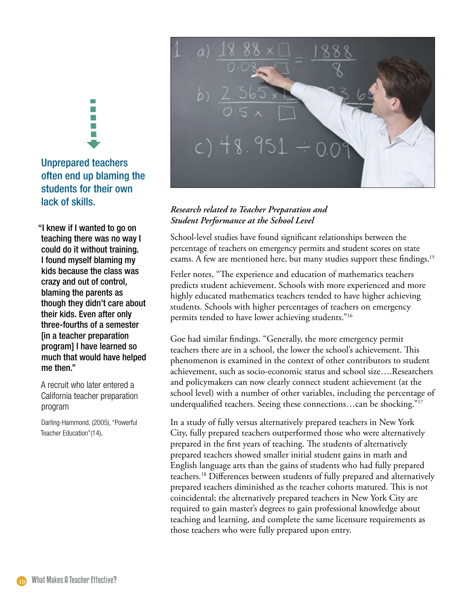## Unprepared teachers often end up blaming the students for their own lack of skills. in the second second to the second second terms.

n.  $\mathcal{C}$ 

"I knew if I wanted to go on teaching there was no way I could do it without training. I found myself blaming my kids because the class was crazy and out of control, blaming the parents as though they didn't care about their kids. Even after only three-fourths of a semester [in a teacher preparation program] I have learned so much that would have helped me then."

A recruit who later entered a California teacher preparation program

Darling-Hammond, (2005), "Powerful Teacher Education"(14).



#### *Research related to Teacher Preparation and Student Performance at the School Level*

School-level studies have found significant relationships between the percentage of teachers on emergency permits and student scores on state exams. A few are mentioned here, but many studies support these findings.<sup>15</sup>

Fetler notes, "The experience and education of mathematics teachers predicts student achievement. Schools with more experienced and more highly educated mathematics teachers tended to have higher achieving students. Schools with higher percentages of teachers on emergency permits tended to have lower achieving students."16

Goe had similar findings. "Generally, the more emergency permit teachers there are in a school, the lower the school's achievement. This phenomenon is examined in the context of other contributors to student achievement, such as socio-economic status and school size….Researchers and policymakers can now clearly connect student achievement (at the school level) with a number of other variables, including the percentage of underqualified teachers. Seeing these connections...can be shocking."<sup>17</sup>

In a study of fully versus alternatively prepared teachers in New York City, fully prepared teachers outperformed those who were alternatively prepared in the first years of teaching. The students of alternatively prepared teachers showed smaller initial student gains in math and English language arts than the gains of students who had fully prepared teachers.18 Differences between students of fully prepared and alternatively prepared teachers diminished as the teacher cohorts matured. This is not coincidental; the alternatively prepared teachers in New York City are required to gain master's degrees to gain professional knowledge about teaching and learning, and complete the same licensure requirements as those teachers who were fully prepared upon entry.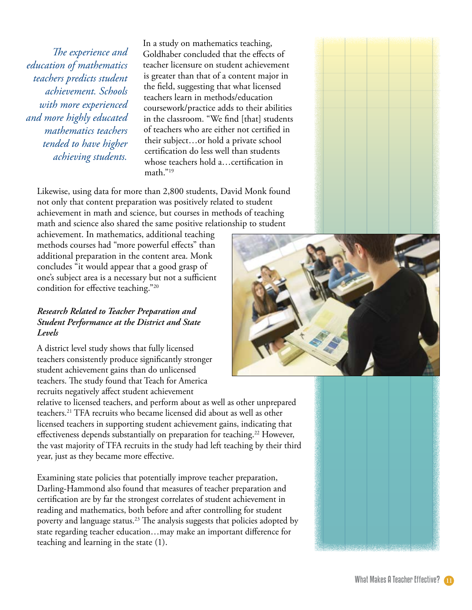*The experience and education of mathematics teachers predicts student achievement. Schools with more experienced and more highly educated mathematics teachers tended to have higher achieving students.* 

In a study on mathematics teaching, Goldhaber concluded that the effects of teacher licensure on student achievement is greater than that of a content major in the field, suggesting that what licensed teachers learn in methods/education coursework/practice adds to their abilities in the classroom. "We find [that] students of teachers who are either not certified in their subject…or hold a private school certification do less well than students whose teachers hold a…certification in math."19

Likewise, using data for more than 2,800 students, David Monk found not only that content preparation was positively related to student achievement in math and science, but courses in methods of teaching math and science also shared the same positive relationship to student

achievement. In mathematics, additional teaching methods courses had "more powerful effects" than additional preparation in the content area. Monk concludes "it would appear that a good grasp of one's subject area is a necessary but not a sufficient condition for effective teaching."20

#### *Research Related to Teacher Preparation and Student Performance at the District and State Levels*

A district level study shows that fully licensed teachers consistently produce significantly stronger student achievement gains than do unlicensed teachers. The study found that Teach for America recruits negatively affect student achievement

relative to licensed teachers, and perform about as well as other unprepared teachers.21 TFA recruits who became licensed did about as well as other licensed teachers in supporting student achievement gains, indicating that effectiveness depends substantially on preparation for teaching.<sup>22</sup> However, the vast majority of TFA recruits in the study had left teaching by their third year, just as they became more effective.

Examining state policies that potentially improve teacher preparation, Darling-Hammond also found that measures of teacher preparation and certification are by far the strongest correlates of student achievement in reading and mathematics, both before and after controlling for student poverty and language status.<sup>23</sup> The analysis suggests that policies adopted by state regarding teacher education…may make an important difference for teaching and learning in the state (1).





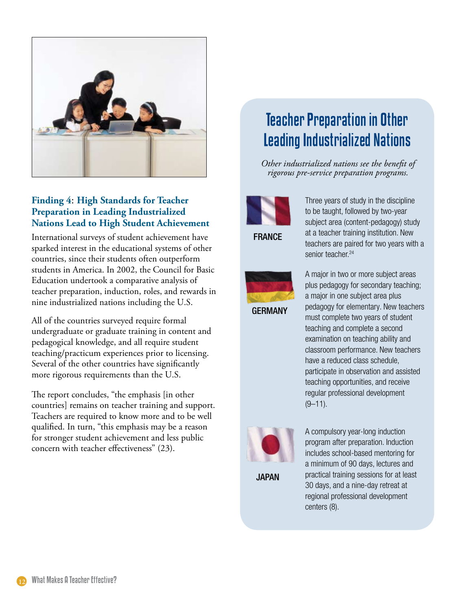

#### **Finding 4**: **High Standards for Teacher Preparation in Leading Industrialized Nations Lead to High Student Achievement**

International surveys of student achievement have sparked interest in the educational systems of other countries, since their students often outperform students in America. In 2002, the Council for Basic Education undertook a comparative analysis of teacher preparation, induction, roles, and rewards in nine industrialized nations including the U.S.

All of the countries surveyed require formal undergraduate or graduate training in content and pedagogical knowledge, and all require student teaching/practicum experiences prior to licensing. Several of the other countries have significantly more rigorous requirements than the U.S.

The report concludes, "the emphasis [in other countries] remains on teacher training and support. Teachers are required to know more and to be well qualified. In turn, "this emphasis may be a reason for stronger student achievement and less public concern with teacher effectiveness" (23).

### Teacher Preparation in Other Leading Industrialized Nations

*Other industrialized nations see the benefit of rigorous pre-service preparation programs.*



FRANCE



Three years of study in the discipline to be taught, followed by two-year subject area (content-pedagogy) study at a teacher training institution. New teachers are paired for two years with a senior teacher.<sup>24</sup>

A major in two or more subject areas plus pedagogy for secondary teaching; a major in one subject area plus pedagogy for elementary. New teachers must complete two years of student teaching and complete a second examination on teaching ability and classroom performance. New teachers have a reduced class schedule, participate in observation and assisted teaching opportunities, and receive regular professional development  $(9-11)$ .



JAPAN

A compulsory year-long induction program after preparation. Induction includes school-based mentoring for a minimum of 90 days, lectures and practical training sessions for at least 30 days, and a nine-day retreat at regional professional development centers (8).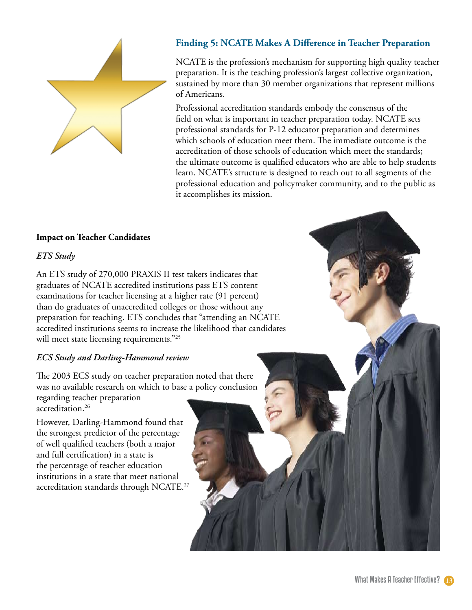

#### **Finding 5: NCATE Makes A Difference in Teacher Preparation**

NCATE is the profession's mechanism for supporting high quality teacher preparation. It is the teaching profession's largest collective organization, sustained by more than 30 member organizations that represent millions of Americans.

Professional accreditation standards embody the consensus of the field on what is important in teacher preparation today. NCATE sets professional standards for P-12 educator preparation and determines which schools of education meet them. The immediate outcome is the accreditation of those schools of education which meet the standards; the ultimate outcome is qualified educators who are able to help students learn. NCATE's structure is designed to reach out to all segments of the professional education and policymaker community, and to the public as it accomplishes its mission.

#### **Impact on Teacher Candidates**

#### *ETS Study*

An ETS study of 270,000 PRAXIS II test takers indicates that graduates of NCATE accredited institutions pass ETS content examinations for teacher licensing at a higher rate (91 percent) than do graduates of unaccredited colleges or those without any preparation for teaching. ETS concludes that "attending an NCATE accredited institutions seems to increase the likelihood that candidates will meet state licensing requirements."<sup>25</sup>

#### *ECS Study and Darling-Hammond review*

The 2003 ECS study on teacher preparation noted that there was no available research on which to base a policy conclusion regarding teacher preparation

accreditation.26

However, Darling-Hammond found that the strongest predictor of the percentage of well qualified teachers (both a major and full certification) in a state is the percentage of teacher education institutions in a state that meet national accreditation standards through NCATE.27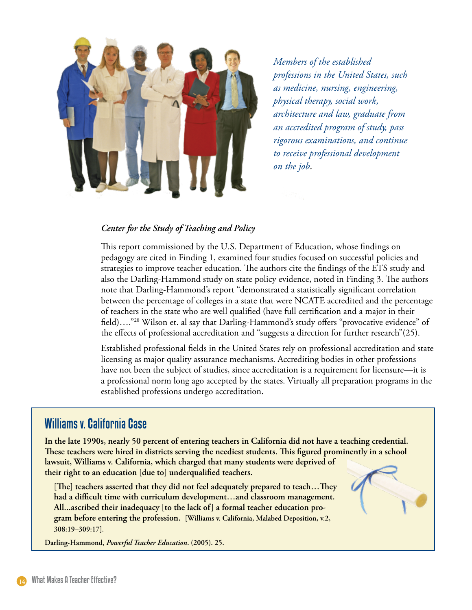

*Members of the established professions in the United States, such as medicine, nursing, engineering, physical therapy, social work, architecture and law, graduate from an accredited program of study, pass rigorous examinations, and continue to receive professional development on the job*.

#### *Center for the Study of Teaching and Policy*

This report commissioned by the U.S. Department of Education, whose findings on pedagogy are cited in Finding 1, examined four studies focused on successful policies and strategies to improve teacher education. The authors cite the findings of the ETS study and also the Darling-Hammond study on state policy evidence, noted in Finding 3. The authors note that Darling-Hammond's report "demonstrated a statistically significant correlation between the percentage of colleges in a state that were NCATE accredited and the percentage of teachers in the state who are well qualified (have full certification and a major in their field)…."28 Wilson et. al say that Darling-Hammond's study offers "provocative evidence" of the effects of professional accreditation and "suggests a direction for further research"(25).

Established professional fields in the United States rely on professional accreditation and state licensing as major quality assurance mechanisms. Accrediting bodies in other professions have not been the subject of studies, since accreditation is a requirement for licensure—it is a professional norm long ago accepted by the states. Virtually all preparation programs in the established professions undergo accreditation.

#### Williams v. California Case

**In the late 1990s, nearly 50 percent of entering teachers in California did not have a teaching credential. These teachers were hired in districts serving the neediest students. This figured prominently in a school lawsuit, Williams v. California, which charged that many students were deprived of their right to an education [due to] underqualified teachers.**

**[The] teachers asserted that they did not feel adequately prepared to teach…They had a difficult time with curriculum development…and classroom management. All...ascribed their inadequacy [to the lack of] a formal teacher education program before entering the profession. [Williams v. California, Malabed Deposition, v.2, 308:19–309:17].**

**Darling-Hammond,** *Powerful Teacher Education***. (2005). 25.**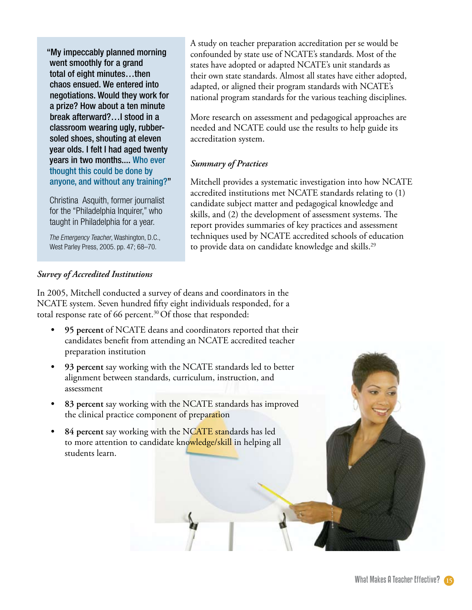"My impeccably planned morning went smoothly for a grand total of eight minutes…then chaos ensued. We entered into negotiations. Would they work for a prize? How about a ten minute break afterward?…I stood in a classroom wearing ugly, rubbersoled shoes, shouting at eleven year olds. I felt I had aged twenty years in two months.... Who ever thought this could be done by anyone, and without any training?"

Christina Asquith, former journalist for the "Philadelphia Inquirer," who taught in Philadelphia for a year.

The Emergency Teacher, Washington, D.C., West Parley Press, 2005. pp. 47; 68–70.

A study on teacher preparation accreditation per se would be confounded by state use of NCATE's standards. Most of the states have adopted or adapted NCATE's unit standards as their own state standards. Almost all states have either adopted, adapted, or aligned their program standards with NCATE's national program standards for the various teaching disciplines.

More research on assessment and pedagogical approaches are needed and NCATE could use the results to help guide its accreditation system.

#### *Summary of Practices*

Mitchell provides a systematic investigation into how NCATE accredited institutions met NCATE standards relating to (1) candidate subject matter and pedagogical knowledge and skills, and (2) the development of assessment systems. The report provides summaries of key practices and assessment techniques used by NCATE accredited schools of education to provide data on candidate knowledge and skills.<sup>29</sup>

#### *Survey of Accredited Institutions*

In 2005, Mitchell conducted a survey of deans and coordinators in the NCATE system. Seven hundred fifty eight individuals responded, for a total response rate of 66 percent.<sup>30</sup> Of those that responded:

- **95 percent** of NCATE deans and coordinators reported that their candidates benefit from attending an NCATE accredited teacher preparation institution **•**
- **93 percent** say working with the NCATE standards led to better alignment between standards, curriculum, instruction, and assessment **•**
- **83 percent** say working with the NCATE standards has improved the clinical practice component of preparation **•**
- **84 percent** say working with the NCATE standards has led to more attention to candidate knowledge/skill in helping all students learn. **•**

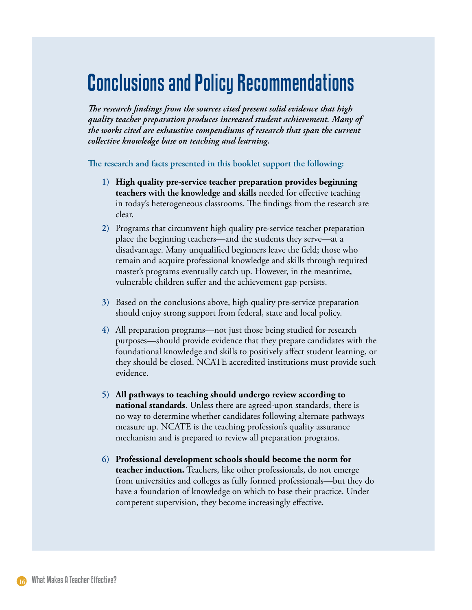## Conclusions and Policy Recommendations

*The research findings from the sources cited present solid evidence that high quality teacher preparation produces increased student achievement. Many of the works cited are exhaustive compendiums of research that span the current collective knowledge base on teaching and learning.* 

**The research and facts presented in this booklet support the following:**

- **High quality pre-service teacher preparation provides beginning 1) teachers with the knowledge and skills** needed for effective teaching in today's heterogeneous classrooms. The findings from the research are clear.
- 2) Programs that circumvent high quality pre-service teacher preparation place the beginning teachers—and the students they serve—at a disadvantage. Many unqualified beginners leave the field; those who remain and acquire professional knowledge and skills through required master's programs eventually catch up. However, in the meantime, vulnerable children suffer and the achievement gap persists.
- 3) Based on the conclusions above, high quality pre-service preparation should enjoy strong support from federal, state and local policy.
- All preparation programs—not just those being studied for research **)** purposes—should provide evidence that they prepare candidates with the foundational knowledge and skills to positively affect student learning, or they should be closed. NCATE accredited institutions must provide such evidence.
- **All pathways to teaching should undergo review according to ) national standards**. Unless there are agreed-upon standards, there is no way to determine whether candidates following alternate pathways measure up. NCATE is the teaching profession's quality assurance mechanism and is prepared to review all preparation programs.
- **Professional development schools should become the norm for )teacher induction.** Teachers, like other professionals, do not emerge from universities and colleges as fully formed professionals—but they do have a foundation of knowledge on which to base their practice. Under competent supervision, they become increasingly effective.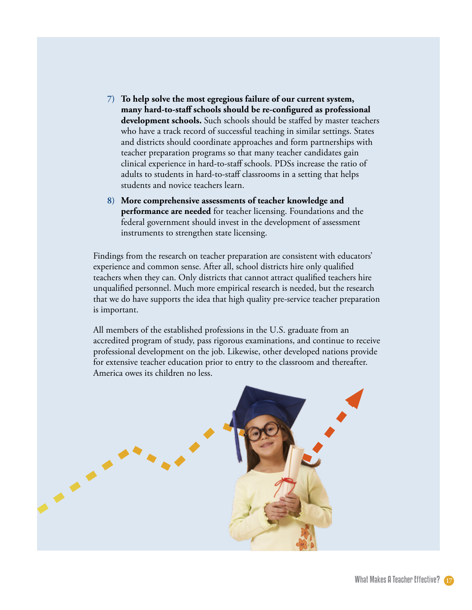- **To help solve the most egregious failure of our current system, ) many hard-to-staff schools should be re-configured as professional development schools.** Such schools should be staffed by master teachers who have a track record of successful teaching in similar settings. States and districts should coordinate approaches and form partnerships with teacher preparation programs so that many teacher candidates gain clinical experience in hard-to-staff schools. PDSs increase the ratio of adults to students in hard-to-staff classrooms in a setting that helps students and novice teachers learn.
- **More comprehensive assessments of teacher knowledge and )performance are needed** for teacher licensing. Foundations and the federal government should invest in the development of assessment instruments to strengthen state licensing.

Findings from the research on teacher preparation are consistent with educators' experience and common sense. After all, school districts hire only qualified teachers when they can. Only districts that cannot attract qualified teachers hire unqualified personnel. Much more empirical research is needed, but the research that we do have supports the idea that high quality pre-service teacher preparation is important.

All members of the established professions in the U.S. graduate from an accredited program of study, pass rigorous examinations, and continue to receive professional development on the job. Likewise, other developed nations provide for extensive teacher education prior to entry to the classroom and thereafter. America owes its children no less.

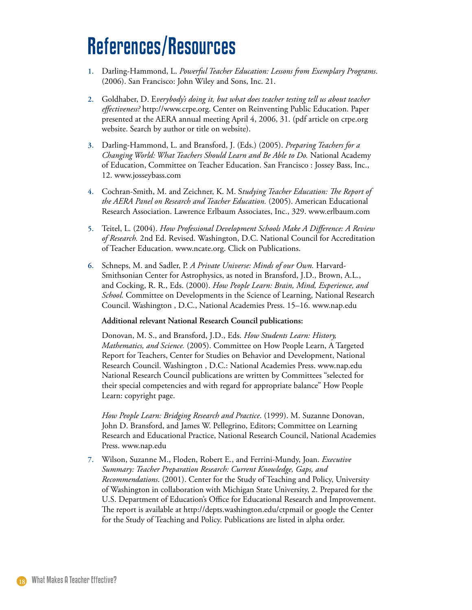## References/Resources

- Darling-Hammond, L. *Powerful Teacher Education: Lessons from Exemplary Programs*. (2006). San Francisco: John Wiley and Sons, Inc. 21. **1.**
- Goldhaber, D. E*verybody's doing it, but what does teacher testing tell us about teacher*  **.** *effectiveness?* http://www.crpe.org. Center on Reinventing Public Education. Paper presented at the AERA annual meeting April 4, 2006, 31. (pdf article on crpe.org website. Search by author or title on website).
- Darling-Hammond, L. and Bransford, J. (Eds.) (2005). *Preparing Teachers for a*  **.** *Changing World: What Teachers Should Learn and Be Able to Do.* National Academy of Education, Committee on Teacher Education. San Francisco : Jossey Bass, Inc., 12. www.josseybass.com
- Cochran-Smith, M. and Zeichner, K. M. S*tudying Teacher Education: The Report of*  **.** *the AERA Panel on Research and Teacher Education.* (2005). American Educational Research Association. Lawrence Erlbaum Associates, Inc., 329. www.erlbaum.com
- Teitel, L. (2004). *How Professional Development Schools Make A Difference: A Review of Research.* 2nd Ed. Revised. Washington, D.C. National Council for Accreditation of Teacher Education. www.ncate.org. Click on Publications. **.**
- 6. Schneps, M. and Sadler, P. *A Private Universe: Minds of our Own*. Harvard-Smithsonian Center for Astrophysics, as noted in Bransford, J.D., Brown, A.L., and Cocking, R. R., Eds. (2000). *How People Learn: Brain, Mind, Experience, and School.* Committee on Developments in the Science of Learning, National Research Council. Washington , D.C., National Academies Press. 15–16. www.nap.edu

#### **Additional relevant National Research Council publications:**

Donovan, M. S., and Bransford, J.D., Eds. *How Students Learn: History, Mathematics, and Science.* (2005). Committee on How People Learn, A Targeted Report for Teachers, Center for Studies on Behavior and Development, National Research Council. Washington , D.C.: National Academies Press. www.nap.edu National Research Council publications are written by Committees "selected for their special competencies and with regard for appropriate balance" How People Learn: copyright page.

*How People Learn: Bridging Research and Practice*. (1999). M. Suzanne Donovan, John D. Bransford, and James W. Pellegrino, Editors; Committee on Learning Research and Educational Practice, National Research Council, National Academies Press. www.nap.edu

Wilson, Suzanne M., Floden, Robert E., and Ferrini-Mundy, Joan. *Executive*  **.***Summary: Teacher Preparation Research: Current Knowledge, Gaps, and Recommendations*. (2001). Center for the Study of Teaching and Policy, University of Washington in collaboration with Michigan State University, 2. Prepared for the U.S. Department of Education's Office for Educational Research and Improvement. The report is available at http://depts.washington.edu/ctpmail or google the Center for the Study of Teaching and Policy. Publications are listed in alpha order.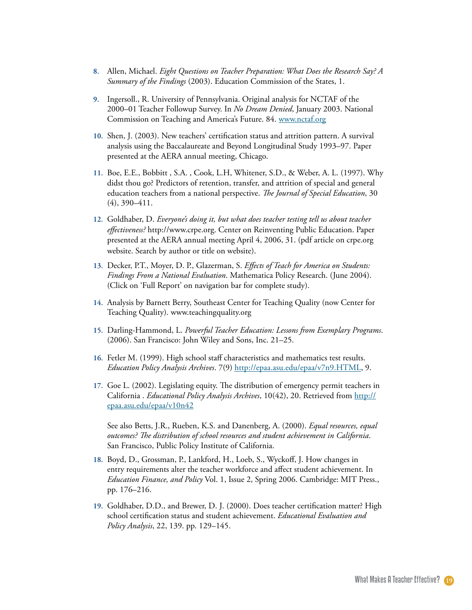- Allen, Michael. *Eight Questions on Teacher Preparation: What Does the Research Say? A*  **.** *Summary of the Findings* (2003). Education Commission of the States, 1.
- 9. Ingersoll., R. University of Pennsylvania. Original analysis for NCTAF of the 2000–01 Teacher Followup Survey. In *No Dream Denied*, January 2003. National Commission on Teaching and America's Future. 84. www.nctaf.org
- 10. Shen, J. (2003). New teachers' certification status and attrition pattern. A survival analysis using the Baccalaureate and Beyond Longitudinal Study 1993–97. Paper presented at the AERA annual meeting, Chicago.
- Boe, E.E., Bobbitt , S.A. , Cook, L.H, Whitener, S.D., & Weber, A. L. (1997). Why **11.** didst thou go? Predictors of retention, transfer, and attrition of special and general education teachers from a national perspective. *The Journal of Special Education*, 30 (4), 390–411.
- 12. Goldhaber, D. *Everyone's doing it, but what does teacher testing tell us about teacher effectiveness?* http://www.crpe.org. Center on Reinventing Public Education. Paper presented at the AERA annual meeting April 4, 2006, 31. (pdf article on crpe.org website. Search by author or title on website).
- Decker, P.T., Moyer, D. P., Glazerman, S. *Effects of Teach for America on Students:*  **1.** *Findings From a National Evaluation*. Mathematica Policy Research. (June 2004). (Click on 'Full Report' on navigation bar for complete study).
- 14. Analysis by Barnett Berry, Southeast Center for Teaching Quality (now Center for Teaching Quality). www.teachingquality.org
- 15. Darling-Hammond, L. Powerful Teacher Education: Lessons from Exemplary Programs. (2006). San Francisco: John Wiley and Sons, Inc. 21–25.
- 16. Fetler M. (1999). High school staff characteristics and mathematics test results. *Education Policy Analysis Archives*. 7(9) http://epaa.asu.edu/epaa/v7n9.HTML, 9.
- 17. Goe L. (2002). Legislating equity. The distribution of emergency permit teachers in California . *Educational Policy Analysis Archives*, 10(42), 20. Retrieved from http:// epaa.asu.edu/epaa/v10n42

See also Betts, J.R., Rueben, K.S. and Danenberg, A. (2000). *Equal resources, equal outcomes? The distribution of school resources and student achievement in California*. San Francisco, Public Policy Institute of California.

- 18. Boyd, D., Grossman, P., Lankford, H., Loeb, S., Wyckoff, J. How changes in entry requirements alter the teacher workforce and affect student achievement. In *Education Finance, and Policy* Vol. 1, Issue 2, Spring 2006. Cambridge: MIT Press., pp. 176–216.
- 19. Goldhaber, D.D., and Brewer, D. J. (2000). Does teacher certification matter? High school certification status and student achievement. *Educational Evaluation and Policy Analysis*, 22, 139. pp. 129–145.